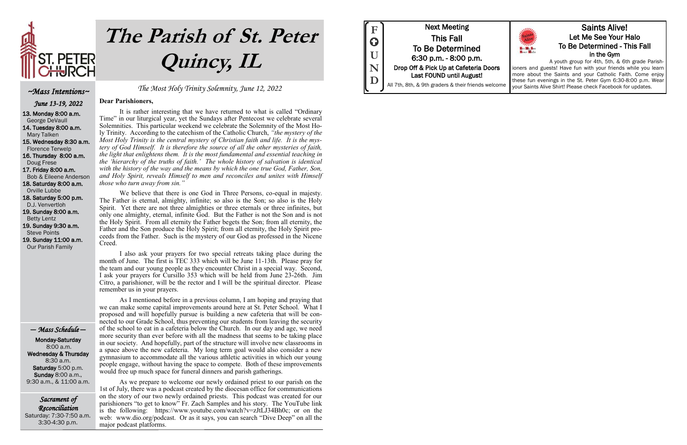Sacrament of Reconciliation Saturday: 7:30-7:50 a.m. 3:30-4:30 p.m.

The Most Holy Trinity Solemnity, June 12, 2022

**Dear Parishioners,**

It is rather interesting that we have returned to what is called "Ordinary Time" in our liturgical year, yet the Sundays after Pentecost we celebrate several Solemnities. This particular weekend we celebrate the Solemnity of the Most Holy Trinity. According to the catechism of the Catholic Church, *"the mystery of the Most Holy Trinity is the central mystery of Christian faith and life. It is the mystery of God Himself. It is therefore the source of all the other mysteries of faith, the light that enlightens them. It is the most fundamental and essential teaching in the 'hierarchy of the truths of faith.' The whole history of salvation is identical with the history of the way and the means by which the one true God, Father, Son, and Holy Spirit, reveals Himself to men and reconciles and unites with Himself those who turn away from sin."*

We believe that there is one God in Three Persons, co-equal in majesty. The Father is eternal, almighty, infinite; so also is the Son; so also is the Holy Spirit. Yet there are not three almighties or three eternals or three infinites, but only one almighty, eternal, infinite God. But the Father is not the Son and is not the Holy Spirit. From all eternity the Father begets the Son; from all eternity, the Father and the Son produce the Holy Spirit; from all eternity, the Holy Spirit proceeds from the Father. Such is the mystery of our God as professed in the Nicene Creed.

I also ask your prayers for two special retreats taking place during the month of June. The first is TEC 333 which will be June 11-13th. Please pray for the team and our young people as they encounter Christ in a special way. Second, I ask your prayers for Cursillo 353 which will be held from June 23-26th. Jim Citro, a parishioner, will be the rector and I will be the spiritual director. Please remember us in your prayers.

As I mentioned before in a previous column, I am hoping and praying that we can make some capital improvements around here at St. Peter School. What I proposed and will hopefully pursue is building a new cafeteria that will be connected to our Grade School, thus preventing our students from leaving the security of the school to eat in a cafeteria below the Church. In our day and age, we need more security than ever before with all the madness that seems to be taking place in our society. And hopefully, part of the structure will involve new classrooms in a space above the new cafeteria. My long term goal would also consider a new gymnasium to accommodate all the various athletic activities in which our young people engage, without having the space to compete. Both of these improvements would free up much space for funeral dinners and parish gatherings.

As we prepare to welcome our newly ordained priest to our parish on the 1st of July, there was a podcast created by the diocesan office for communications on the story of our two newly ordained priests. This podcast was created for our parishioners "to get to know" Fr. Zach Samples and his story. The YouTube link is the following: https://www.youtube.com/watch?v=zJtLJ34Bh0c; or on the web: www.dio.org/podcast. Or as it says, you can search "Dive Deep" on all the major podcast platforms.



#### ~Mass Intentions~

June 13-19, 2022

13. Monday 8:00 a.m. George DeVaull 14. Tuesday 8:00 a.m.

Mary Talken

15. Wednesday 8:30 a.m. Florence Terwelp 16. Thursday 8:00 a.m.

 Doug Frese 17. Friday 8:00 a.m. Bob & Eileene Anderson 18. Saturday 8:00 a.m.

Orville Lubbe

18. Saturday 5:00 p.m. D.J. Venvertloh 19. Sunday 8:00 a.m.

Betty Lentz

19. Sunday 9:30 a.m.

Steve Points

19. Sunday 11:00 a.m. Our Parish Family

#### — Mass Schedule —

 Monday-Saturday 8:00 a.m. Wednesday & Thursday 8:30 a.m. Saturday 5:00 p.m. Sunday 8:00 a.m., 9:30 a.m., & 11:00 a.m.



# **The Parish of St. Peter Quincy, IL**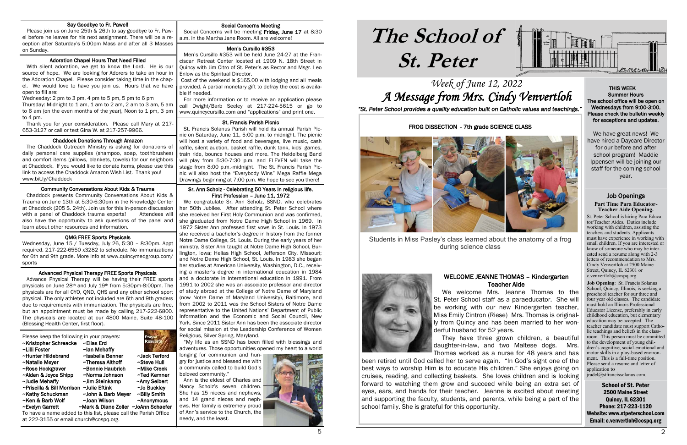## Week of June 12, 2022 A Message from Mrs. Cindy Venvertloh

# **The School of St. Peter**

School of St. Peter 2500 Maine Street Quincy, IL 62301 Phone: 217-223-1120 Website: www.stpeterschool.com Email: c.venvertloh@cospq.org



*"St. Peter School provides a quality education built on Catholic values and teachings."*

#### Job Openings **Part Time Para Educator-Teacher Aide Opening.**

St. Peter School is hiring Para Educator/Teacher Aides. Duties include working with children, assisting the teachers and students. Applicants must have experience in working with small children. If you are interested or know of someone who may be interested send a resume along with 2-3 letters of recommendation to Mrs. Cindy Venvertloh at 2500 Maine Street, Quincy, IL 62301 or c.venvertloh@cospq.org.

 Social Concerns will be meeting Friday, June 17 at 8:30 a.m. in the Martha Jane Room. All are welcome! Ï

 For more information or to receive an application please call Dwight/Barb Seeley at 217-224-5615 or go to www.quincycursillo.com and "applications" and print one. i

> **Job Opening**: St. Francis Solanus School, Quincy, Illinois, is seeking a preschool teacher for our three and four year old classes. The candidate must hold an Illinois Professional Educator License, preferably in early childhood education, but elementary education may be accepted. The teacher candidate must support Catholic teachings and beliefs in the classroom. This person must be committed to the development of young children's cognitive, social-emotional and motor skills in a play-based environment. This is a full-time position. Please send a resume and letter of application to

jradel@stfrancissolanus.com.

#### Social Concerns Meeting

#### Men's Cursillo #353

 Men's Cursillo #353 will be held June 24-27 at the Franciscan Retreat Center located at 1909 N. 18th Street in Quincy with Jim Citro of St. Peter's as Rector and Msgr. Leo Enlow as the Spiritual Director.

 Cost of the weekend is \$165.00 with lodging and all meals provided. A partial monetary gift to defray the cost is available if needed.

#### St. Francis Parish Picnic

#### i Adoration Chapel Hours That Need Filled

 St. Francis Solanus Parish will hold its annual Parish Picnic on Saturday, June 11, 5:00 p.m. to midnight. The picnic will host a variety of food and beverages, live music, cash raffle, silent auction, basket raffle, dunk tank, kids' games, train ride, bounce houses and more. The Heidelberg Band will play from 5:30-7:30 p.m. and ELEVEN will take the stage from 8:00 p.m.-midnight. The St. Francis Parish Picnic will also host the "Everybody Wins" Mega Raffle Mega Drawings beginning at 7:00 p.m. We hope to see you there!

#### Sr. Ann Scholz - Celebrating 50 Years in religious life. First Profession – June 11, 1972

#### i Advanced Physical Therapy FREE Sports Physicals

 We congratulate Sr. Ann Scholz, SSND, who celebrates her 50th Jubilee. After attending St. Peter School where she received her First Holy Communion and was confirmed, she graduated from Notre Dame High School in 1969. In 1972 Sister Ann professed first vows in St. Louis. In 1973 she received a bachelor's degree in history from the former Notre Dame College, St. Louis. During the early years of her ministry, Sister Ann taught at Notre Dame High School, Burlington, Iowa; Helias High School, Jefferson City, Missouri; and Notre Dame High School, St. Louis. In 1983 she began her studies at American University, Washington, D.C., receiving a master's degree in international education in 1984 and a doctorate in international education in 1991. From 1991 to 2002 she was an associate professor and director of study abroad at the College of Notre Dame of Maryland (now Notre Dame of Maryland University), Baltimore, and from 2002 to 2011 was the School Sisters of Notre Dame representative to the United Nations' Department of Public Information and the Economic and Social Council, New York. Since 2011 Sister Ann has been the associate director for social mission at the Leadership Conference of Women Religious, Silver Spring, Maryland.

 "My life as an SSND has been filled with blessings and adventures. Those opportunities opened my heart to a world

longing for communion and hungry for justice and blessed me with a community called to build God's beloved community."

 Ann is the eldest of Charles and Nancy Scholz's seven children. She has 15 nieces and nephews, and 14 grand nieces and nephews. Her family is extremely proud of Ann's service to the Church, the needy, and the least.



#### Say Goodbye to Fr. Pawel!

 Please join us on June 25th & 26th to say goodbye to Fr. Pawel before he leaves for his next assignment. There will be a reception after Saturday's 5:00pm Mass and after all 3 Masses on Sunday.

 With silent adoration, we get to know the Lord. He is our source of hope. We are looking for Adorers to take an hour in the Adoration Chapel. Please consider taking time in the chapel. We would love to have you join us. Hours that we have open to fill are:

Wednesday: 2 pm to 3 pm, 4 pm to 5 pm, 5 pm to 6 pm Thursday: Midnight to 1 am, 1 am to 2 am, 2 am to 3 am, 5 am to 6 am (on the even months of the year), Noon to 1 pm, 3 pm to 4 pm.

 Thank you for your consideration. Please call Mary at 217- 653-3127 or call or text Gina W. at 217-257-9966.

#### Chaddock Donations Through Amazon

 The Chaddock Outreach Ministry is asking for donations of daily personal care supplies (shampoo, soap, toothbrushes) and comfort items (pillows, blankets, towels) for our neighbors at Chaddock. If you would like to donate items, please use this link to access the Chaddock Amazon Wish List. Thank you! www.bit.ly/Chaddock

#### Community Conversations About Kids & Trauma

 Chaddock presents Community Conversations About Kids & Trauma on June 13th at 5:30-6:30pm in the Knowledge Center at Chaddock (205 S. 24th). Join us for this in-person discussion with a panel of Chaddock trauma experts! Attendees will also have the opportunity to ask questions of the panel and learn about other resources and information.

#### QMG FREE Sports Physicals

Wednesday, June 15 / Tuesday, July 26, 5:30 – 8:30pm. Appt required. 217-222-6550 x3282 to schedule. No immunizations for 6th and 9th grade. More info at www.quincymedgroup.com/ sports

 Advance Physical Therapy will be having their FREE sports physicals on June 28th and July 19th from 5:30pm-8:00pm. The physicals are for all CYO, QND, QHS and any other school sport physical. The only athletes not included are 6th and 9th graders due to requirements with immunization. The physicals are free, but an appointment must be made by calling 217-222-6800. The physicals are located at our 4800 Maine, Suite 48-100 (Blessing Health Center, first floor).

Please keep the following in your prayers: ~Kristopher Schreacke ~Elias Erd ~Ian Mehaffy ~Hunter Hildebrand ~Isabella Benner ~Jack Terford ~Natalie Meyer **~Theresa Althoff** ~Steve Hull ~Rose Hockgraver ~Bonnie Haubrich ~Mike Creek<br>~Alden & Joyce Shipp ~Norma Johnson ~Ted Kemner ~Alden & Joyce Shipp ~Norma Johnson ~Judie Mehaffy ~Jim Steinkamp ~Amy Seibert<br>~Priscilla & Bill Morrison ~Julie Eftink ~Jo Bucklev ~Priscilla & Bill Morrison ~Julie Eftink ~Kathy Schuckman ~John & Barb Meyer ~Billy Smith ~Ken & Barb Wolf ~Joan Wilson ~Anonymous ~Evelyn Garrett ~Mark & Diane Zoller ~JoAnn Schaefer To have a name added to this list, please call the Parish Office

at 222-3155 or email church@cospq.org.

 THIS WEEK Summer Hours The school office will be open on Wednesdays from 9:00-3:00. Please check the bulletin weekly for exceptions and updates.

We have great news! We have hired a Daycare Director for our before and after school program! Maddie Ippensen will be joining our staff for the coming school year.

FROG DISSECTION - 7th grade SCIENCE CLASS



Students in Miss Pasley's class learned about the anatomy of a frog during science class

#### WELCOME JEANNE THOMAS – Kindergarten Teacher Aide

 We welcome Mrs. Jeanne Thomas to the St. Peter School staff as a paraeducator. She will be working with our new Kindergarten teacher, Miss Emily Cintron (Riese) Mrs. Thomas is originally from Quincy and has been married to her won-



They have three grown children, a beautiful

daughter-in-law, and two Maltese dogs. Mrs. Thomas worked as a nurse for 48 years and has been retired until God called her to serve again. "In God's sight one of the best ways to worship Him is to educate His children." She enjoys going on cruises, reading, and collecting baskets. She loves children and is looking forward to watching them grow and succeed while being an extra set of eyes, ears, and hands for their teacher. Jeanne is excited about meeting and supporting the faculty, students, and parents, while being a part of the school family. She is grateful for this opportunity.